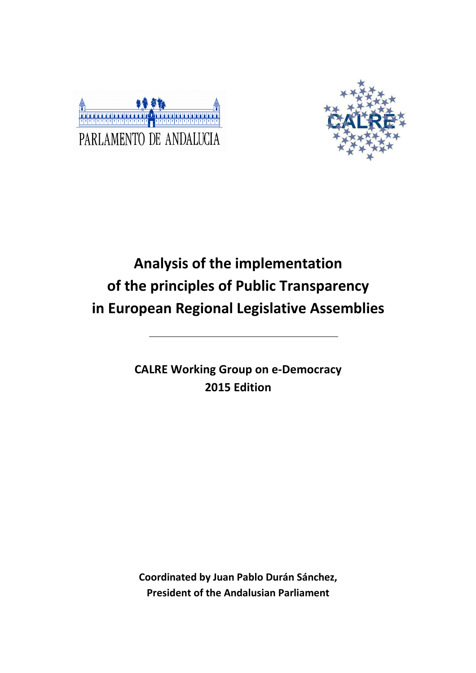



# **Analysis of the implementation of the principles of Public Transparency in European Regional Legislative Assemblies**

**CALRE Working Group on e-Democracy 2015 Edition** 

**Coordinated by Juan Pablo Durán Sánchez, President of the Andalusian Parliament**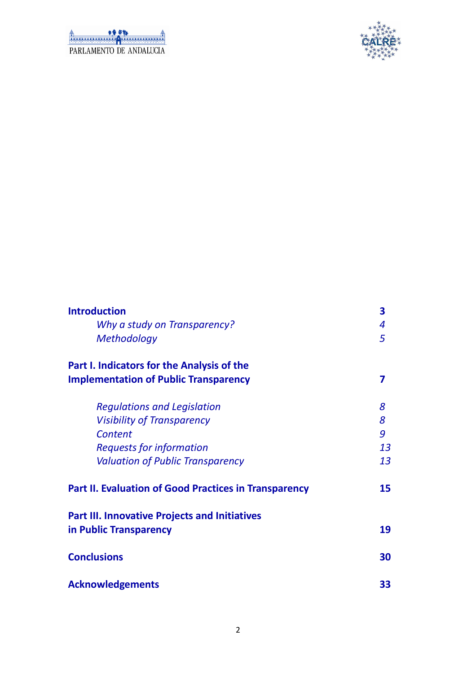| PARLAMENTO DE ANDALICIA |  |
|-------------------------|--|



| <b>Introduction</b>                                                            | 3  |
|--------------------------------------------------------------------------------|----|
| Why a study on Transparency?                                                   | 4  |
| <b>Methodology</b>                                                             | 5  |
| <b>Part I. Indicators for the Analysis of the</b>                              |    |
| <b>Implementation of Public Transparency</b>                                   |    |
| <b>Regulations and Legislation</b>                                             | 8  |
| <b>Visibility of Transparency</b>                                              | 8  |
| <b>Content</b>                                                                 | 9  |
| <b>Requests for information</b>                                                | 13 |
| <b>Valuation of Public Transparency</b>                                        | 13 |
| <b>Part II. Evaluation of Good Practices in Transparency</b>                   | 15 |
| <b>Part III. Innovative Projects and Initiatives</b><br>in Public Transparency | 19 |
| <b>Conclusions</b>                                                             | 30 |
| <b>Acknowledgements</b>                                                        | 33 |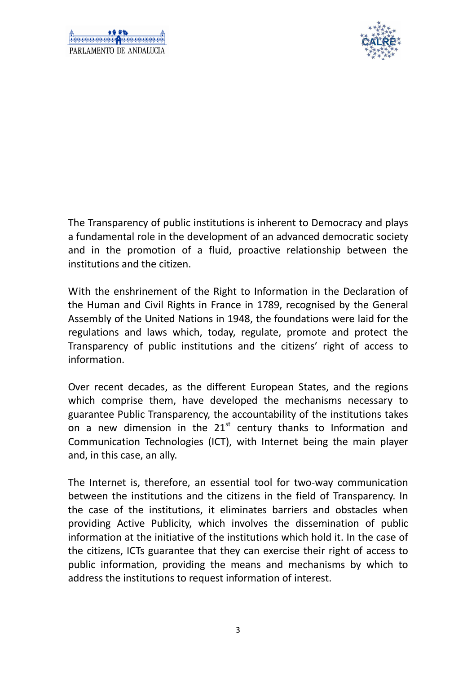



The Transparency of public institutions is inherent to Democracy and plays a fundamental role in the development of an advanced democratic society and in the promotion of a fluid, proactive relationship between the institutions and the citizen.

With the enshrinement of the Right to Information in the Declaration of the Human and Civil Rights in France in 1789, recognised by the General Assembly of the United Nations in 1948, the foundations were laid for the regulations and laws which, today, regulate, promote and protect the Transparency of public institutions and the citizens' right of access to information.

Over recent decades, as the different European States, and the regions which comprise them, have developed the mechanisms necessary to guarantee Public Transparency, the accountability of the institutions takes on a new dimension in the  $21<sup>st</sup>$  century thanks to Information and Communication Technologies (ICT), with Internet being the main player and, in this case, an ally.

The Internet is, therefore, an essential tool for two-way communication between the institutions and the citizens in the field of Transparency. In the case of the institutions, it eliminates barriers and obstacles when providing Active Publicity, which involves the dissemination of public information at the initiative of the institutions which hold it. In the case of the citizens, ICTs guarantee that they can exercise their right of access to public information, providing the means and mechanisms by which to address the institutions to request information of interest.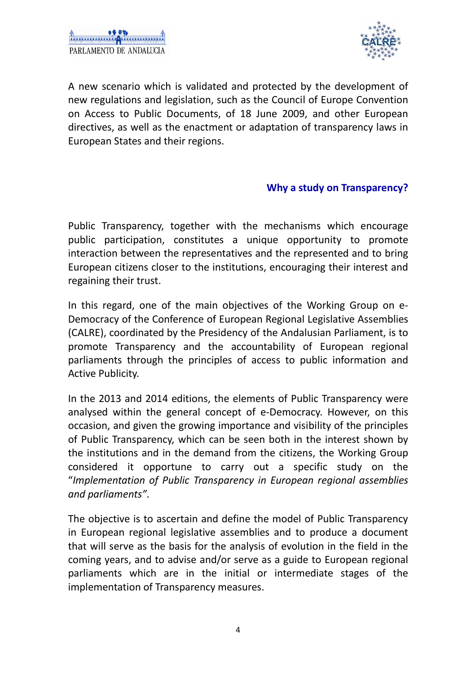

A new scenario which is validated and protected by the development of new regulations and legislation, such as the Council of Europe Convention on Access to Public Documents, of 18 June 2009, and other European directives, as well as the enactment or adaptation of transparency laws in European States and their regions.

#### **Why a study on Transparency?**

Public Transparency, together with the mechanisms which encourage public participation, constitutes a unique opportunity to promote interaction between the representatives and the represented and to bring European citizens closer to the institutions, encouraging their interest and regaining their trust.

In this regard, one of the main objectives of the Working Group on e-Democracy of the Conference of European Regional Legislative Assemblies (CALRE), coordinated by the Presidency of the Andalusian Parliament, is to promote Transparency and the accountability of European regional parliaments through the principles of access to public information and Active Publicity.

In the 2013 and 2014 editions, the elements of Public Transparency were analysed within the general concept of e-Democracy. However, on this occasion, and given the growing importance and visibility of the principles of Public Transparency, which can be seen both in the interest shown by the institutions and in the demand from the citizens, the Working Group considered it opportune to carry out a specific study on the "*Implementation of Public Transparency in European regional assemblies and parliaments"*.

The objective is to ascertain and define the model of Public Transparency in European regional legislative assemblies and to produce a document that will serve as the basis for the analysis of evolution in the field in the coming years, and to advise and/or serve as a guide to European regional parliaments which are in the initial or intermediate stages of the implementation of Transparency measures.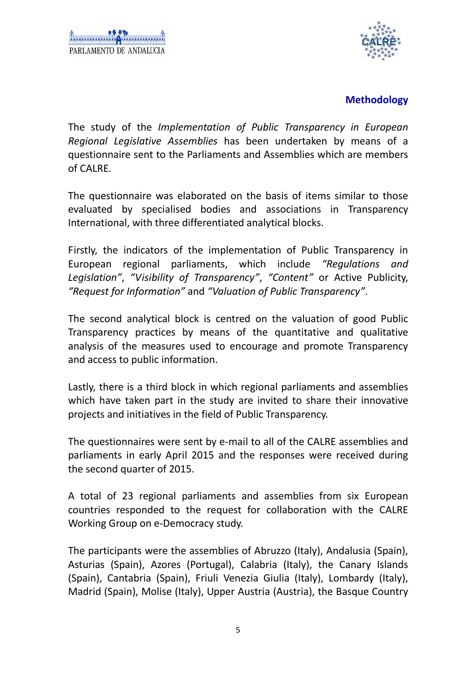

#### **Methodology**

The study of the *Implementation of Public Transparency in European Regional Legislative Assemblies* has been undertaken by means of a questionnaire sent to the Parliaments and Assemblies which are members of CALRE.

The questionnaire was elaborated on the basis of items similar to those evaluated by specialised bodies and associations in Transparency International, with three differentiated analytical blocks.

Firstly, the indicators of the implementation of Public Transparency in European regional parliaments, which include *"Regulations and Legislation"*, *"Visibility of Transparency"*, *"Content"* or Active Publicity, *"Request for Information"* and *"Valuation of Public Transparency"*.

The second analytical block is centred on the valuation of good Public Transparency practices by means of the quantitative and qualitative analysis of the measures used to encourage and promote Transparency and access to public information.

Lastly, there is a third block in which regional parliaments and assemblies which have taken part in the study are invited to share their innovative projects and initiatives in the field of Public Transparency.

The questionnaires were sent by e-mail to all of the CALRE assemblies and parliaments in early April 2015 and the responses were received during the second quarter of 2015.

A total of 23 regional parliaments and assemblies from six European countries responded to the request for collaboration with the CALRE Working Group on e-Democracy study.

The participants were the assemblies of Abruzzo (Italy), Andalusia (Spain), Asturias (Spain), Azores (Portugal), Calabria (Italy), the Canary Islands (Spain), Cantabria (Spain), Friuli Venezia Giulia (Italy), Lombardy (Italy), Madrid (Spain), Molise (Italy), Upper Austria (Austria), the Basque Country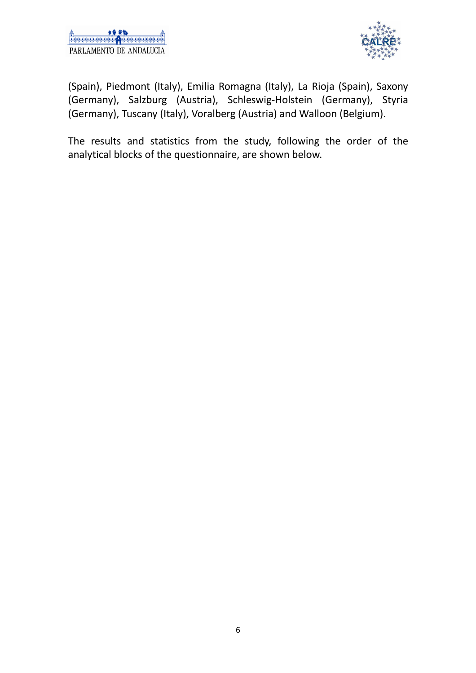

(Spain), Piedmont (Italy), Emilia Romagna (Italy), La Rioja (Spain), Saxony (Germany), Salzburg (Austria), Schleswig-Holstein (Germany), Styria (Germany), Tuscany (Italy), Voralberg (Austria) and Walloon (Belgium).

The results and statistics from the study, following the order of the analytical blocks of the questionnaire, are shown below.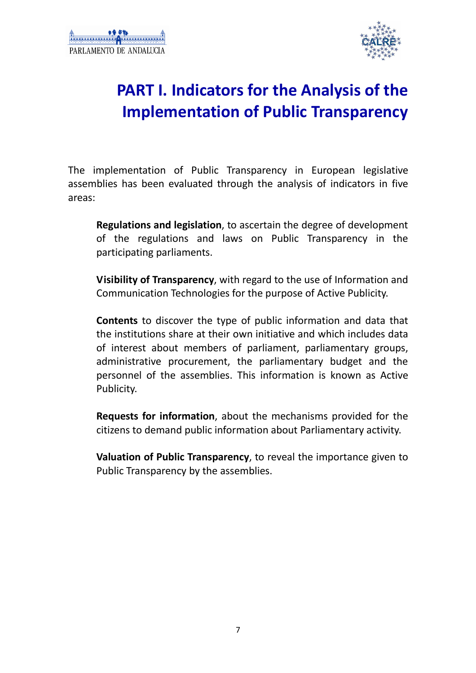

# **PART I. Indicators for the Analysis of the Implementation of Public Transparency**

The implementation of Public Transparency in European legislative assemblies has been evaluated through the analysis of indicators in five areas:

**Regulations and legislation**, to ascertain the degree of development of the regulations and laws on Public Transparency in the participating parliaments.

**Visibility of Transparency**, with regard to the use of Information and Communication Technologies for the purpose of Active Publicity.

**Contents** to discover the type of public information and data that the institutions share at their own initiative and which includes data of interest about members of parliament, parliamentary groups, administrative procurement, the parliamentary budget and the personnel of the assemblies. This information is known as Active Publicity.

**Requests for information**, about the mechanisms provided for the citizens to demand public information about Parliamentary activity.

**Valuation of Public Transparency**, to reveal the importance given to Public Transparency by the assemblies.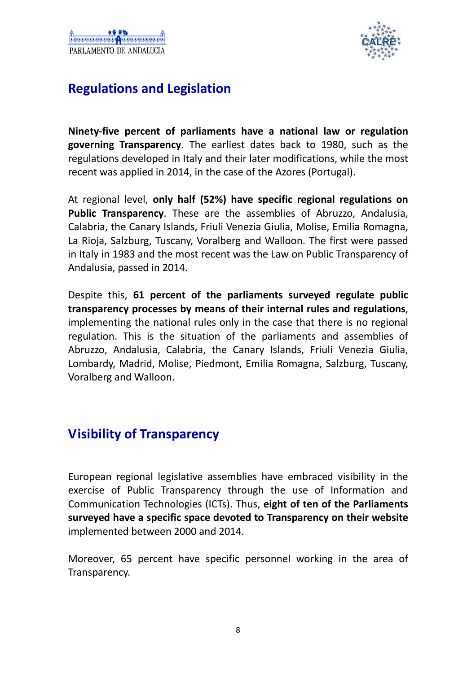

## **Regulations and Legislation**

**Ninety-five percent of parliaments have a national law or regulation governing Transparency**. The earliest dates back to 1980, such as the regulations developed in Italy and their later modifications, while the most recent was applied in 2014, in the case of the Azores (Portugal).

At regional level, **only half (52%) have specific regional regulations on Public Transparency**. These are the assemblies of Abruzzo, Andalusia, Calabria, the Canary Islands, Friuli Venezia Giulia, Molise, Emilia Romagna, La Rioja, Salzburg, Tuscany, Voralberg and Walloon. The first were passed in Italy in 1983 and the most recent was the Law on Public Transparency of Andalusia, passed in 2014.

Despite this, **61 percent of the parliaments surveyed regulate public transparency processes by means of their internal rules and regulations**, implementing the national rules only in the case that there is no regional regulation. This is the situation of the parliaments and assemblies of Abruzzo, Andalusia, Calabria, the Canary Islands, Friuli Venezia Giulia, Lombardy, Madrid, Molise, Piedmont, Emilia Romagna, Salzburg, Tuscany, Voralberg and Walloon.

## **Visibility of Transparency**

European regional legislative assemblies have embraced visibility in the exercise of Public Transparency through the use of Information and Communication Technologies (ICTs). Thus, **eight of ten of the Parliaments surveyed have a specific space devoted to Transparency on their website** implemented between 2000 and 2014.

Moreover, 65 percent have specific personnel working in the area of Transparency.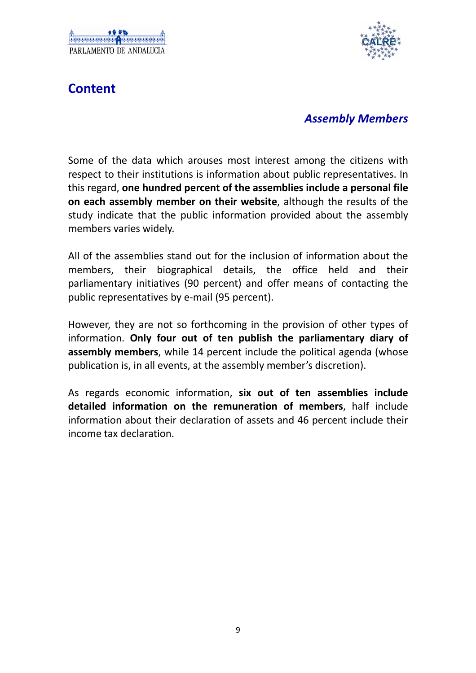

## **Content**

#### *Assembly Members*

Some of the data which arouses most interest among the citizens with respect to their institutions is information about public representatives. In this regard, **one hundred percent of the assemblies include a personal file on each assembly member on their website**, although the results of the study indicate that the public information provided about the assembly members varies widely.

All of the assemblies stand out for the inclusion of information about the members, their biographical details, the office held and their parliamentary initiatives (90 percent) and offer means of contacting the public representatives by e-mail (95 percent).

However, they are not so forthcoming in the provision of other types of information. **Only four out of ten publish the parliamentary diary of assembly members**, while 14 percent include the political agenda (whose publication is, in all events, at the assembly member's discretion).

As regards economic information, **six out of ten assemblies include detailed information on the remuneration of members**, half include information about their declaration of assets and 46 percent include their income tax declaration.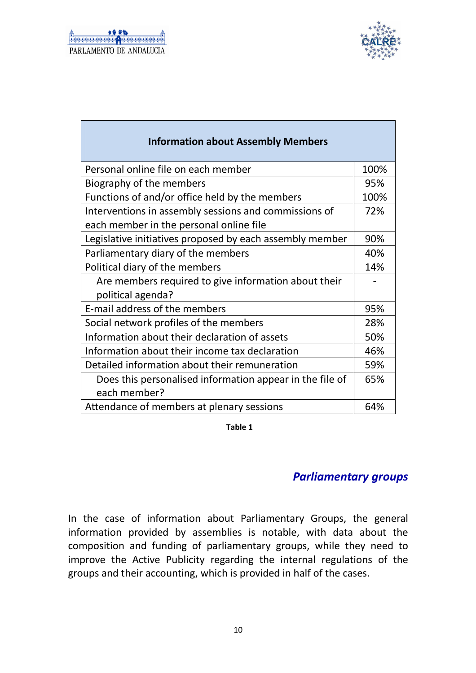

| <b>Information about Assembly Members</b>                |      |
|----------------------------------------------------------|------|
| Personal online file on each member                      | 100% |
| Biography of the members                                 | 95%  |
| Functions of and/or office held by the members           | 100% |
| Interventions in assembly sessions and commissions of    | 72%  |
| each member in the personal online file                  |      |
| Legislative initiatives proposed by each assembly member | 90%  |
| Parliamentary diary of the members                       | 40%  |
| Political diary of the members                           | 14%  |
| Are members required to give information about their     |      |
| political agenda?                                        |      |
| E-mail address of the members                            | 95%  |
| Social network profiles of the members                   | 28%  |
| Information about their declaration of assets            | 50%  |
| Information about their income tax declaration           | 46%  |
| Detailed information about their remuneration            | 59%  |
| Does this personalised information appear in the file of | 65%  |
| each member?                                             |      |
| Attendance of members at plenary sessions                | 64%  |

**Table 1**

#### *Parliamentary groups*

In the case of information about Parliamentary Groups, the general information provided by assemblies is notable, with data about the composition and funding of parliamentary groups, while they need to improve the Active Publicity regarding the internal regulations of the groups and their accounting, which is provided in half of the cases.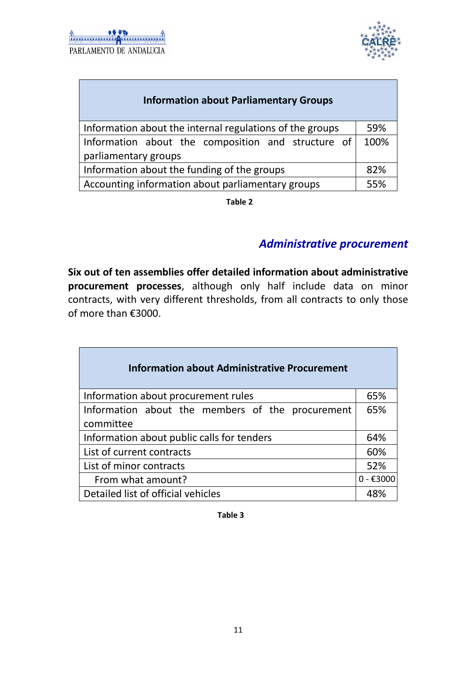

| <b>Information about Parliamentary Groups</b>            |      |
|----------------------------------------------------------|------|
| Information about the internal regulations of the groups | 59%  |
| Information about the composition and structure of       | 100% |
| parliamentary groups                                     |      |
| Information about the funding of the groups              | 82%  |
| Accounting information about parliamentary groups        | 55%  |

**Table 2**

#### *Administrative procurement*

**Six out of ten assemblies offer detailed information about administrative procurement processes**, although only half include data on minor contracts, with very different thresholds, from all contracts to only those of more than €3000.

| <b>Information about Administrative Procurement</b>           |             |
|---------------------------------------------------------------|-------------|
| Information about procurement rules                           | 65%         |
| Information about the members of the procurement<br>committee | 65%         |
| Information about public calls for tenders                    | 64%         |
| List of current contracts                                     | 60%         |
| List of minor contracts                                       | 52%         |
| From what amount?                                             | $0 - €3000$ |
| Detailed list of official vehicles                            | 48%         |

**Table 3**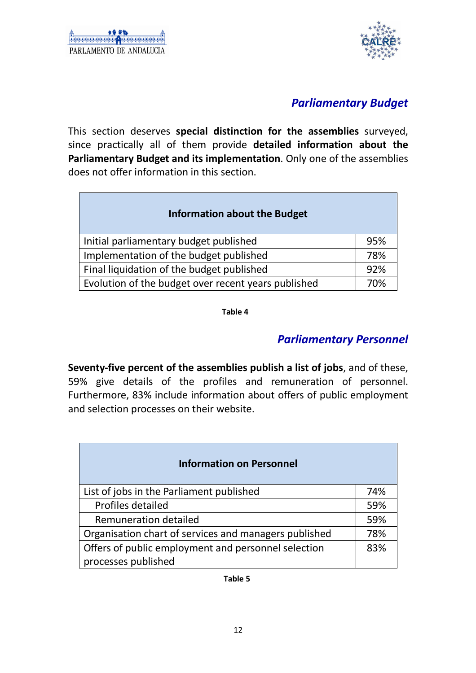

#### *Parliamentary Budget*

This section deserves **special distinction for the assemblies** surveyed, since practically all of them provide **detailed information about the Parliamentary Budget and its implementation**. Only one of the assemblies does not offer information in this section.

| <b>Information about the Budget</b>                 |     |
|-----------------------------------------------------|-----|
| Initial parliamentary budget published              | 95% |
| Implementation of the budget published              | 78% |
| Final liquidation of the budget published           | 92% |
| Evolution of the budget over recent years published | 70% |

**Table 4**

#### *Parliamentary Personnel*

**Seventy-five percent of the assemblies publish a list of jobs**, and of these, 59% give details of the profiles and remuneration of personnel. Furthermore, 83% include information about offers of public employment and selection processes on their website.

| <b>Information on Personnel</b>                       |     |
|-------------------------------------------------------|-----|
| List of jobs in the Parliament published              | 74% |
| Profiles detailed                                     | 59% |
| Remuneration detailed                                 | 59% |
| Organisation chart of services and managers published | 78% |
| Offers of public employment and personnel selection   | 83% |
| processes published                                   |     |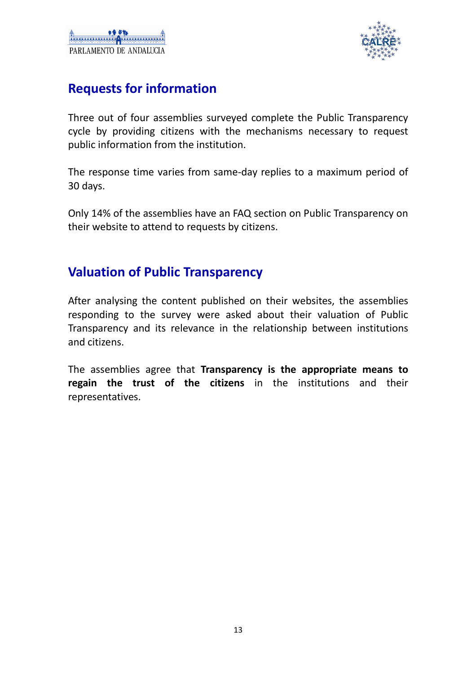

## **Requests for information**

Three out of four assemblies surveyed complete the Public Transparency cycle by providing citizens with the mechanisms necessary to request public information from the institution.

The response time varies from same-day replies to a maximum period of 30 days.

Only 14% of the assemblies have an FAQ section on Public Transparency on their website to attend to requests by citizens.

### **Valuation of Public Transparency**

After analysing the content published on their websites, the assemblies responding to the survey were asked about their valuation of Public Transparency and its relevance in the relationship between institutions and citizens.

The assemblies agree that **Transparency is the appropriate means to regain the trust of the citizens** in the institutions and their representatives.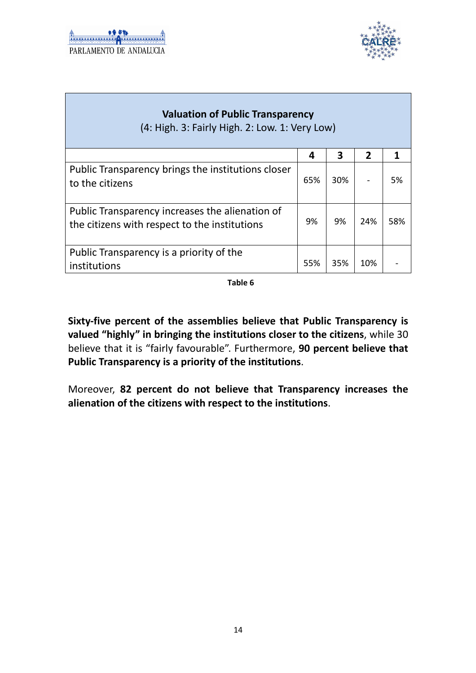

| <b>Valuation of Public Transparency</b><br>(4: High. 3: Fairly High. 2: Low. 1: Very Low)        |     |     |                |     |
|--------------------------------------------------------------------------------------------------|-----|-----|----------------|-----|
|                                                                                                  | 4   | 3   | $\overline{2}$ | 1   |
| Public Transparency brings the institutions closer<br>to the citizens                            | 65% | 30% |                | 5%  |
| Public Transparency increases the alienation of<br>the citizens with respect to the institutions | 9%  | 9%  | 24%            | 58% |
| Public Transparency is a priority of the<br>institutions                                         | 55% | 35% | 10%            |     |

**Table 6**

**Sixty-five percent of the assemblies believe that Public Transparency is valued "highly" in bringing the institutions closer to the citizens**, while 30 believe that it is "fairly favourable". Furthermore, **90 percent believe that Public Transparency is a priority of the institutions**.

Moreover, **82 percent do not believe that Transparency increases the alienation of the citizens with respect to the institutions**.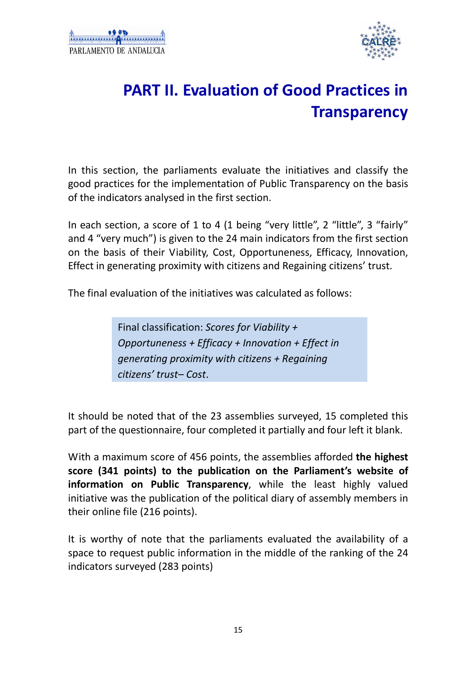

# **PART II. Evaluation of Good Practices in Transparency**

In this section, the parliaments evaluate the initiatives and classify the good practices for the implementation of Public Transparency on the basis of the indicators analysed in the first section.

In each section, a score of 1 to 4 (1 being "very little", 2 "little", 3 "fairly" and 4 "very much") is given to the 24 main indicators from the first section on the basis of their Viability, Cost, Opportuneness, Efficacy, Innovation, Effect in generating proximity with citizens and Regaining citizens' trust.

The final evaluation of the initiatives was calculated as follows:

Final classification: *Scores for Viability + Opportuneness + Efficacy + Innovation + Effect in generating proximity with citizens + Regaining citizens' trust– Cost*.

It should be noted that of the 23 assemblies surveyed, 15 completed this part of the questionnaire, four completed it partially and four left it blank.

With a maximum score of 456 points, the assemblies afforded **the highest score (341 points) to the publication on the Parliament's website of information on Public Transparency**, while the least highly valued initiative was the publication of the political diary of assembly members in their online file (216 points).

It is worthy of note that the parliaments evaluated the availability of a space to request public information in the middle of the ranking of the 24 indicators surveyed (283 points)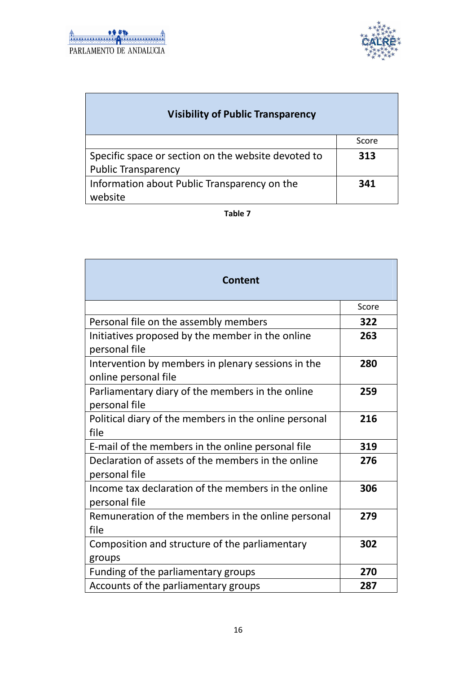

| <b>Visibility of Public Transparency</b>            |       |
|-----------------------------------------------------|-------|
|                                                     | Score |
| Specific space or section on the website devoted to | 313   |
| <b>Public Transparency</b>                          |       |
| Information about Public Transparency on the        | 341   |
| website                                             |       |

#### **Table 7**

| <b>Content</b>                                                             |       |
|----------------------------------------------------------------------------|-------|
|                                                                            | Score |
| Personal file on the assembly members                                      | 322   |
| Initiatives proposed by the member in the online<br>personal file          | 263   |
| Intervention by members in plenary sessions in the<br>online personal file | 280   |
| Parliamentary diary of the members in the online<br>personal file          | 259   |
| Political diary of the members in the online personal<br>file              | 216   |
| E-mail of the members in the online personal file                          | 319   |
| Declaration of assets of the members in the online<br>personal file        | 276   |
| Income tax declaration of the members in the online<br>personal file       | 306   |
| Remuneration of the members in the online personal<br>file                 | 279   |
| Composition and structure of the parliamentary<br>groups                   | 302   |
| Funding of the parliamentary groups                                        | 270   |
| Accounts of the parliamentary groups                                       | 287   |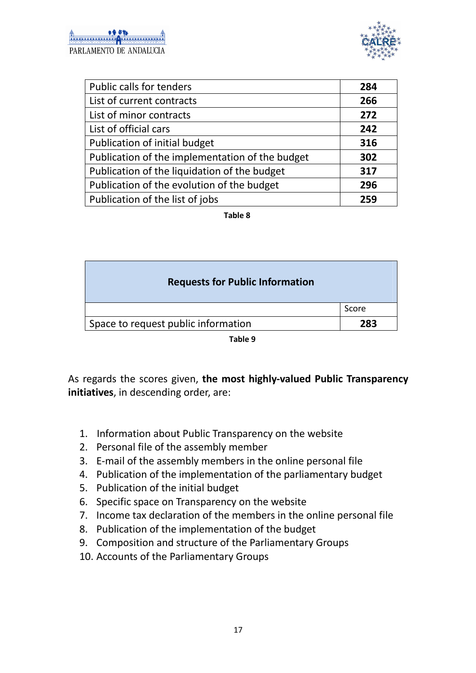

| Public calls for tenders                        | 284 |
|-------------------------------------------------|-----|
| List of current contracts                       | 266 |
| List of minor contracts                         | 272 |
| List of official cars                           | 242 |
| Publication of initial budget                   | 316 |
| Publication of the implementation of the budget | 302 |
| Publication of the liquidation of the budget    | 317 |
| Publication of the evolution of the budget      | 296 |
| Publication of the list of jobs                 | 259 |

**Table 8**

| <b>Requests for Public Information</b> |       |
|----------------------------------------|-------|
|                                        | Score |
| Space to request public information    | 283   |

| . .<br>×<br>۰.<br>۰.<br>× |
|---------------------------|
|---------------------------|

As regards the scores given, **the most highly-valued Public Transparency initiatives**, in descending order, are:

- 1. Information about Public Transparency on the website
- 2. Personal file of the assembly member
- 3. E-mail of the assembly members in the online personal file
- 4. Publication of the implementation of the parliamentary budget
- 5. Publication of the initial budget
- 6. Specific space on Transparency on the website
- 7. Income tax declaration of the members in the online personal file
- 8. Publication of the implementation of the budget
- 9. Composition and structure of the Parliamentary Groups
- 10. Accounts of the Parliamentary Groups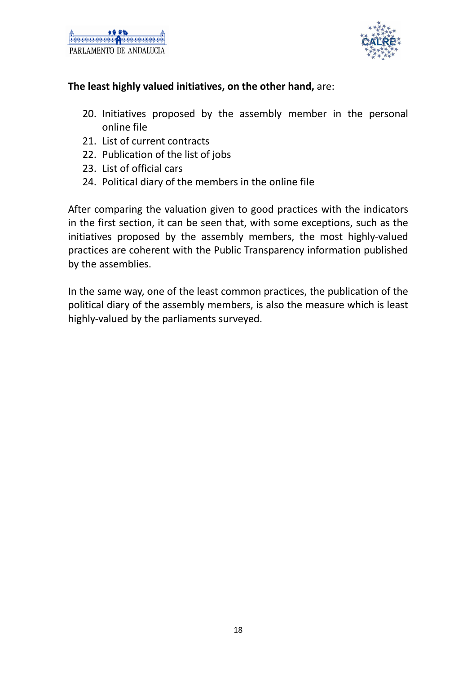

#### **The least highly valued initiatives, on the other hand,** are:

- 20. Initiatives proposed by the assembly member in the personal online file
- 21. List of current contracts
- 22. Publication of the list of jobs
- 23. List of official cars
- 24. Political diary of the members in the online file

After comparing the valuation given to good practices with the indicators in the first section, it can be seen that, with some exceptions, such as the initiatives proposed by the assembly members, the most highly-valued practices are coherent with the Public Transparency information published by the assemblies.

In the same way, one of the least common practices, the publication of the political diary of the assembly members, is also the measure which is least highly-valued by the parliaments surveyed.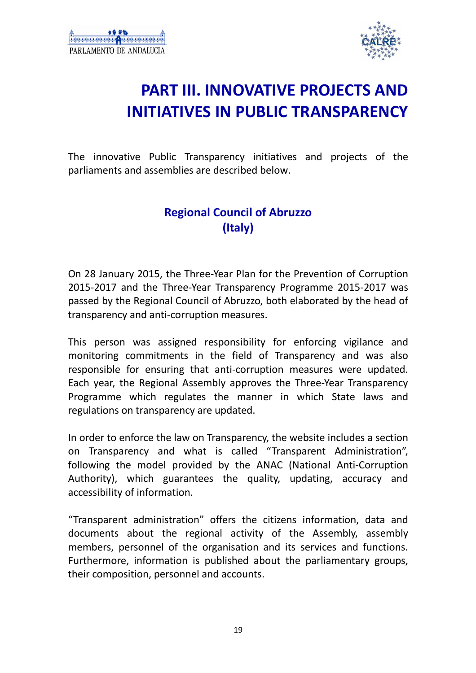

# **PART III. INNOVATIVE PROJECTS AND INITIATIVES IN PUBLIC TRANSPARENCY**

The innovative Public Transparency initiatives and projects of the parliaments and assemblies are described below.

## **Regional Council of Abruzzo (Italy)**

On 28 January 2015, the Three-Year Plan for the Prevention of Corruption 2015-2017 and the Three-Year Transparency Programme 2015-2017 was passed by the Regional Council of Abruzzo, both elaborated by the head of transparency and anti-corruption measures.

This person was assigned responsibility for enforcing vigilance and monitoring commitments in the field of Transparency and was also responsible for ensuring that anti-corruption measures were updated. Each year, the Regional Assembly approves the Three-Year Transparency Programme which regulates the manner in which State laws and regulations on transparency are updated.

In order to enforce the law on Transparency, the website includes a section on Transparency and what is called "Transparent Administration", following the model provided by the ANAC (National Anti-Corruption Authority), which guarantees the quality, updating, accuracy and accessibility of information.

"Transparent administration" offers the citizens information, data and documents about the regional activity of the Assembly, assembly members, personnel of the organisation and its services and functions. Furthermore, information is published about the parliamentary groups, their composition, personnel and accounts.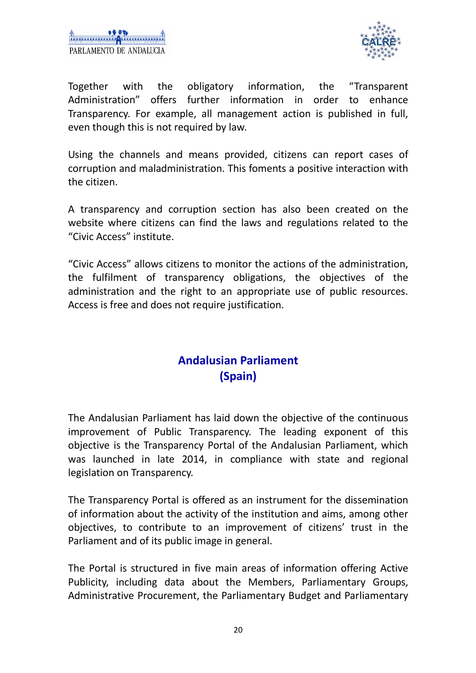

Together with the obligatory information, the "Transparent Administration" offers further information in order to enhance Transparency. For example, all management action is published in full, even though this is not required by law.

Using the channels and means provided, citizens can report cases of corruption and maladministration. This foments a positive interaction with the citizen.

A transparency and corruption section has also been created on the website where citizens can find the laws and regulations related to the "Civic Access" institute.

"Civic Access" allows citizens to monitor the actions of the administration, the fulfilment of transparency obligations, the objectives of the administration and the right to an appropriate use of public resources. Access is free and does not require justification.

### **Andalusian Parliament (Spain)**

The Andalusian Parliament has laid down the objective of the continuous improvement of Public Transparency. The leading exponent of this objective is the Transparency Portal of the Andalusian Parliament, which was launched in late 2014, in compliance with state and regional legislation on Transparency.

The Transparency Portal is offered as an instrument for the dissemination of information about the activity of the institution and aims, among other objectives, to contribute to an improvement of citizens' trust in the Parliament and of its public image in general.

The Portal is structured in five main areas of information offering Active Publicity, including data about the Members, Parliamentary Groups, Administrative Procurement, the Parliamentary Budget and Parliamentary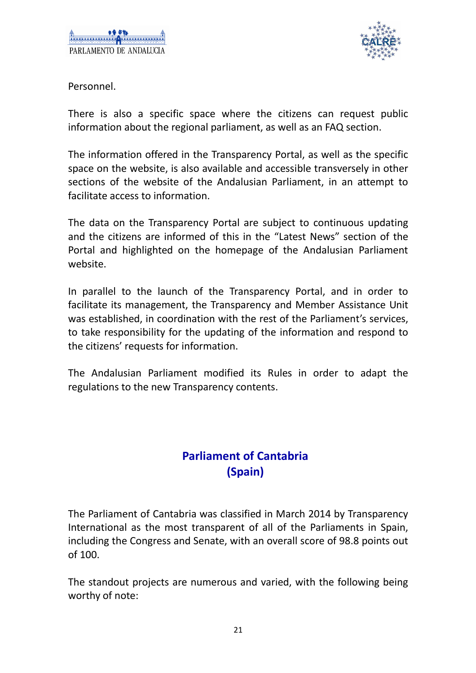

Personnel.

There is also a specific space where the citizens can request public information about the regional parliament, as well as an FAQ section.

The information offered in the Transparency Portal, as well as the specific space on the website, is also available and accessible transversely in other sections of the website of the Andalusian Parliament, in an attempt to facilitate access to information.

The data on the Transparency Portal are subject to continuous updating and the citizens are informed of this in the "Latest News" section of the Portal and highlighted on the homepage of the Andalusian Parliament website.

In parallel to the launch of the Transparency Portal, and in order to facilitate its management, the Transparency and Member Assistance Unit was established, in coordination with the rest of the Parliament's services, to take responsibility for the updating of the information and respond to the citizens' requests for information.

The Andalusian Parliament modified its Rules in order to adapt the regulations to the new Transparency contents.

## **Parliament of Cantabria (Spain)**

The Parliament of Cantabria was classified in March 2014 by Transparency International as the most transparent of all of the Parliaments in Spain, including the Congress and Senate, with an overall score of 98.8 points out of 100.

The standout projects are numerous and varied, with the following being worthy of note: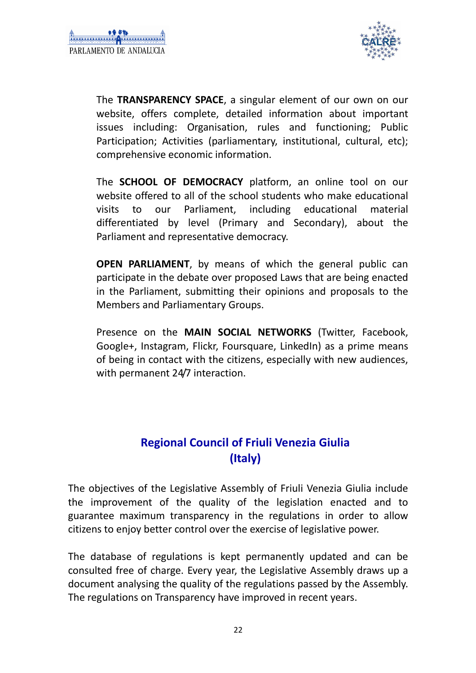

 The **TRANSPARENCY SPACE**, a singular element of our own on our website, offers complete, detailed information about important issues including: Organisation, rules and functioning; Public Participation; Activities (parliamentary, institutional, cultural, etc); comprehensive economic information.

 The **SCHOOL OF DEMOCRACY** platform, an online tool on our website offered to all of the school students who make educational visits to our Parliament, including educational material differentiated by level (Primary and Secondary), about the Parliament and representative democracy.

**OPEN PARLIAMENT**, by means of which the general public can participate in the debate over proposed Laws that are being enacted in the Parliament, submitting their opinions and proposals to the Members and Parliamentary Groups.

 Presence on the **MAIN SOCIAL NETWORKS** (Twitter, Facebook, Google+, Instagram, Flickr, Foursquare, LinkedIn) as a prime means of being in contact with the citizens, especially with new audiences, with permanent 24/7 interaction.

## **Regional Council of Friuli Venezia Giulia (Italy)**

The objectives of the Legislative Assembly of Friuli Venezia Giulia include the improvement of the quality of the legislation enacted and to guarantee maximum transparency in the regulations in order to allow citizens to enjoy better control over the exercise of legislative power.

The database of regulations is kept permanently updated and can be consulted free of charge. Every year, the Legislative Assembly draws up a document analysing the quality of the regulations passed by the Assembly. The regulations on Transparency have improved in recent years.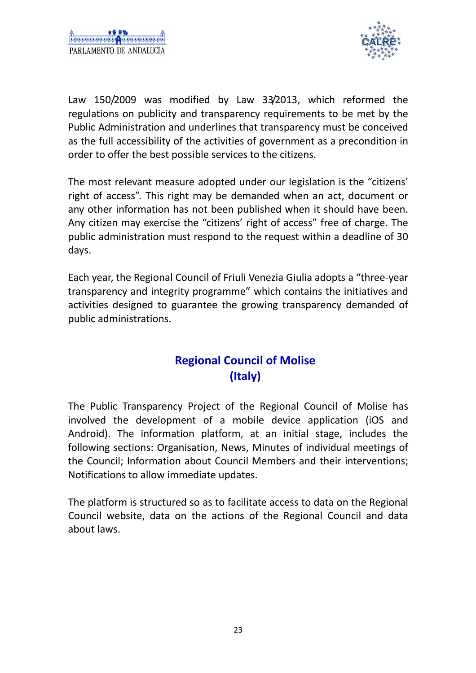

Law 150/2009 was modified by Law 33/2013, which reformed the regulations on publicity and transparency requirements to be met by the Public Administration and underlines that transparency must be conceived as the full accessibility of the activities of government as a precondition in order to offer the best possible services to the citizens.

The most relevant measure adopted under our legislation is the "citizens' right of access". This right may be demanded when an act, document or any other information has not been published when it should have been. Any citizen may exercise the "citizens' right of access" free of charge. The public administration must respond to the request within a deadline of 30 days.

Each year, the Regional Council of Friuli Venezia Giulia adopts a "three-year transparency and integrity programme" which contains the initiatives and activities designed to guarantee the growing transparency demanded of public administrations.

## **Regional Council of Molise (Italy)**

The Public Transparency Project of the Regional Council of Molise has involved the development of a mobile device application (iOS and Android). The information platform, at an initial stage, includes the following sections: Organisation, News, Minutes of individual meetings of the Council; Information about Council Members and their interventions; Notifications to allow immediate updates.

The platform is structured so as to facilitate access to data on the Regional Council website, data on the actions of the Regional Council and data about laws.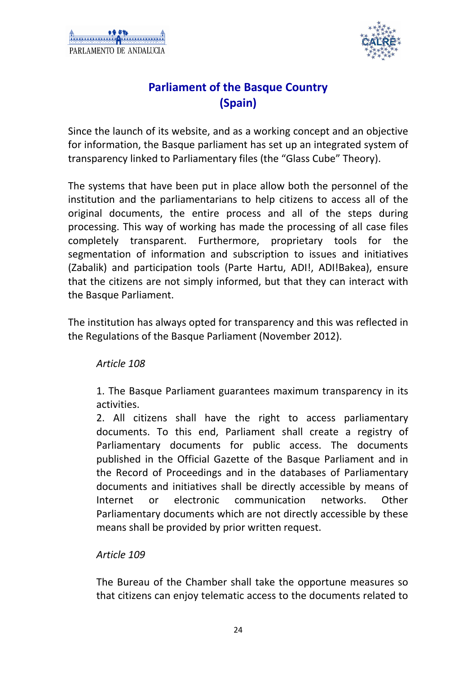

### **Parliament of the Basque Country (Spain)**

Since the launch of its website, and as a working concept and an objective for information, the Basque parliament has set up an integrated system of transparency linked to Parliamentary files (the "Glass Cube" Theory).

The systems that have been put in place allow both the personnel of the institution and the parliamentarians to help citizens to access all of the original documents, the entire process and all of the steps during processing. This way of working has made the processing of all case files completely transparent. Furthermore, proprietary tools for the segmentation of information and subscription to issues and initiatives (Zabalik) and participation tools (Parte Hartu, ADI!, ADI!Bakea), ensure that the citizens are not simply informed, but that they can interact with the Basque Parliament.

The institution has always opted for transparency and this was reflected in the Regulations of the Basque Parliament (November 2012).

#### *Article 108*

 1. The Basque Parliament guarantees maximum transparency in its activities.

 2. All citizens shall have the right to access parliamentary documents. To this end, Parliament shall create a registry of Parliamentary documents for public access. The documents published in the Official Gazette of the Basque Parliament and in the Record of Proceedings and in the databases of Parliamentary documents and initiatives shall be directly accessible by means of Internet or electronic communication networks. Other Parliamentary documents which are not directly accessible by these means shall be provided by prior written request.

#### *Article 109*

 The Bureau of the Chamber shall take the opportune measures so that citizens can enjoy telematic access to the documents related to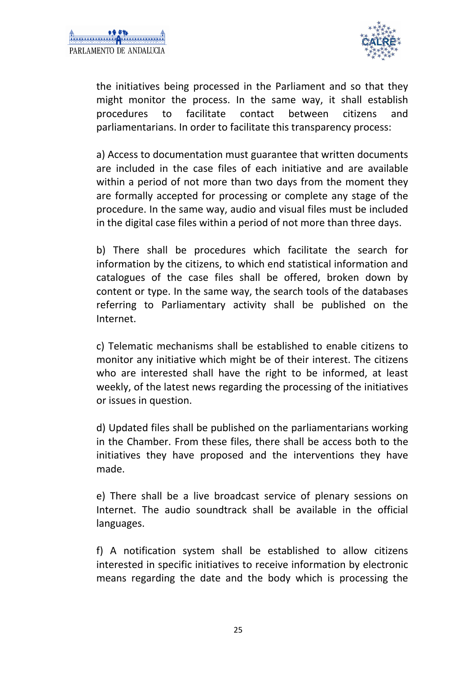

the initiatives being processed in the Parliament and so that they might monitor the process. In the same way, it shall establish procedures to facilitate contact between citizens and parliamentarians. In order to facilitate this transparency process:

 a) Access to documentation must guarantee that written documents are included in the case files of each initiative and are available within a period of not more than two days from the moment they are formally accepted for processing or complete any stage of the procedure. In the same way, audio and visual files must be included in the digital case files within a period of not more than three days.

 b) There shall be procedures which facilitate the search for information by the citizens, to which end statistical information and catalogues of the case files shall be offered, broken down by content or type. In the same way, the search tools of the databases referring to Parliamentary activity shall be published on the Internet.

 c) Telematic mechanisms shall be established to enable citizens to monitor any initiative which might be of their interest. The citizens who are interested shall have the right to be informed, at least weekly, of the latest news regarding the processing of the initiatives or issues in question.

 d) Updated files shall be published on the parliamentarians working in the Chamber. From these files, there shall be access both to the initiatives they have proposed and the interventions they have made.

 e) There shall be a live broadcast service of plenary sessions on Internet. The audio soundtrack shall be available in the official languages.

 f) A notification system shall be established to allow citizens interested in specific initiatives to receive information by electronic means regarding the date and the body which is processing the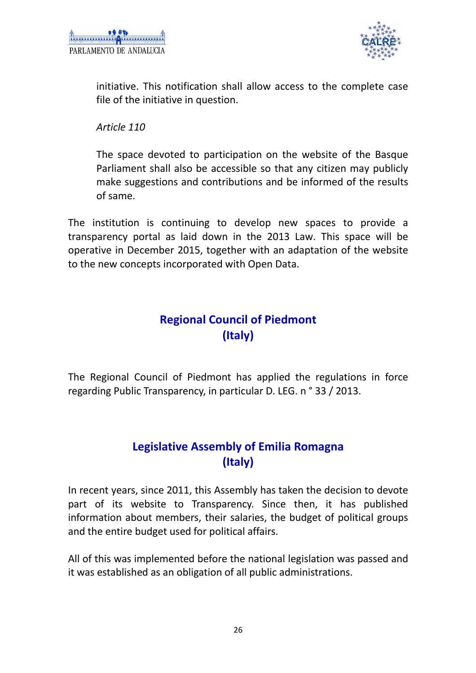

initiative. This notification shall allow access to the complete case file of the initiative in question.

 *Article 110* 

 The space devoted to participation on the website of the Basque Parliament shall also be accessible so that any citizen may publicly make suggestions and contributions and be informed of the results of same.

The institution is continuing to develop new spaces to provide a transparency portal as laid down in the 2013 Law. This space will be operative in December 2015, together with an adaptation of the website to the new concepts incorporated with Open Data.

## **Regional Council of Piedmont (Italy)**

The Regional Council of Piedmont has applied the regulations in force regarding Public Transparency, in particular D. LEG. n ° 33 / 2013.

#### **Legislative Assembly of Emilia Romagna (Italy)**

In recent years, since 2011, this Assembly has taken the decision to devote part of its website to Transparency. Since then, it has published information about members, their salaries, the budget of political groups and the entire budget used for political affairs.

All of this was implemented before the national legislation was passed and it was established as an obligation of all public administrations.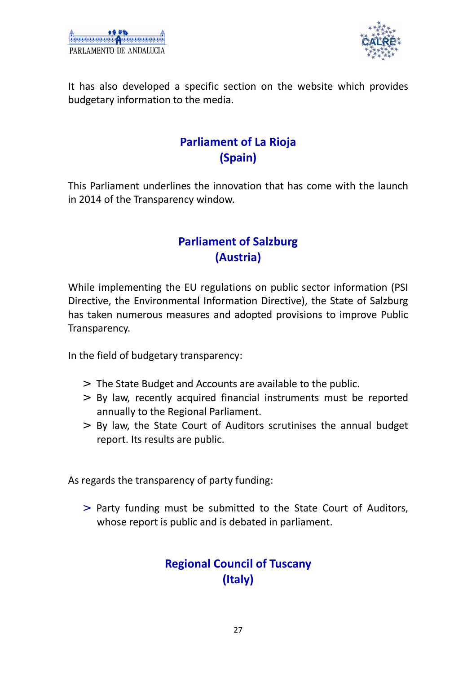

It has also developed a specific section on the website which provides budgetary information to the media.

### **Parliament of La Rioja (Spain)**

This Parliament underlines the innovation that has come with the launch in 2014 of the Transparency window.

## **Parliament of Salzburg (Austria)**

While implementing the EU regulations on public sector information (PSI Directive, the Environmental Information Directive), the State of Salzburg has taken numerous measures and adopted provisions to improve Public Transparency.

In the field of budgetary transparency:

- > The State Budget and Accounts are available to the public.
- > By law, recently acquired financial instruments must be reported annually to the Regional Parliament.
- > By law, the State Court of Auditors scrutinises the annual budget report. Its results are public.

As regards the transparency of party funding:

> Party funding must be submitted to the State Court of Auditors, whose report is public and is debated in parliament.

### **Regional Council of Tuscany (Italy)**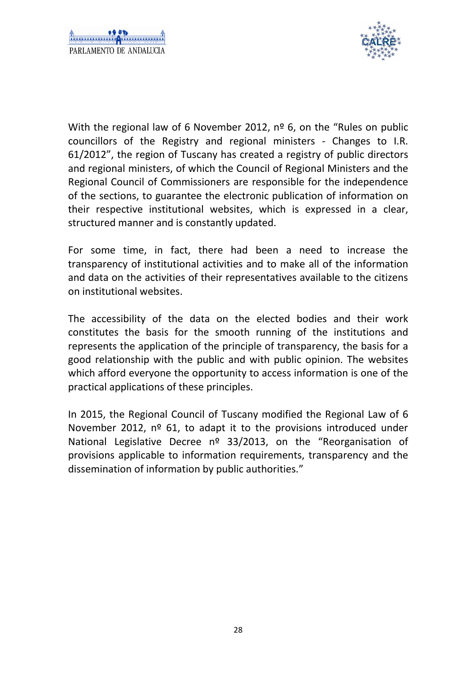

With the regional law of 6 November 2012, nº 6, on the "Rules on public councillors of the Registry and regional ministers - Changes to I.R. 61/2012", the region of Tuscany has created a registry of public directors and regional ministers, of which the Council of Regional Ministers and the Regional Council of Commissioners are responsible for the independence of the sections, to guarantee the electronic publication of information on their respective institutional websites, which is expressed in a clear, structured manner and is constantly updated.

For some time, in fact, there had been a need to increase the transparency of institutional activities and to make all of the information and data on the activities of their representatives available to the citizens on institutional websites.

The accessibility of the data on the elected bodies and their work constitutes the basis for the smooth running of the institutions and represents the application of the principle of transparency, the basis for a good relationship with the public and with public opinion. The websites which afford everyone the opportunity to access information is one of the practical applications of these principles.

In 2015, the Regional Council of Tuscany modified the Regional Law of 6 November 2012, nº 61, to adapt it to the provisions introduced under National Legislative Decree nº 33/2013, on the "Reorganisation of provisions applicable to information requirements, transparency and the dissemination of information by public authorities."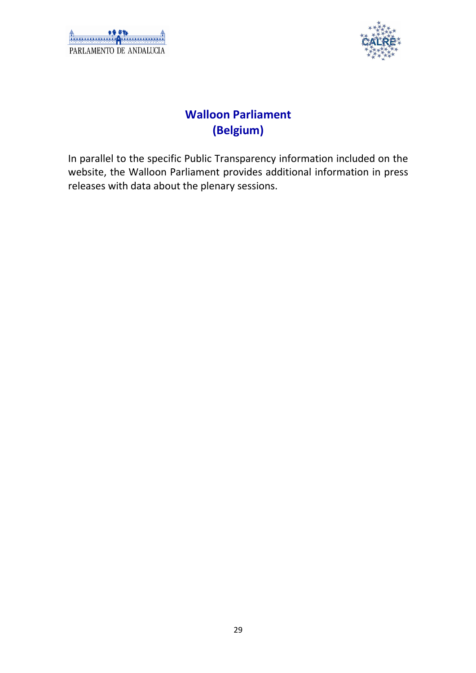| PARLAMENTO DE ANDALICIA |  |  |
|-------------------------|--|--|



## **Walloon Parliament (Belgium)**

In parallel to the specific Public Transparency information included on the website, the Walloon Parliament provides additional information in press releases with data about the plenary sessions.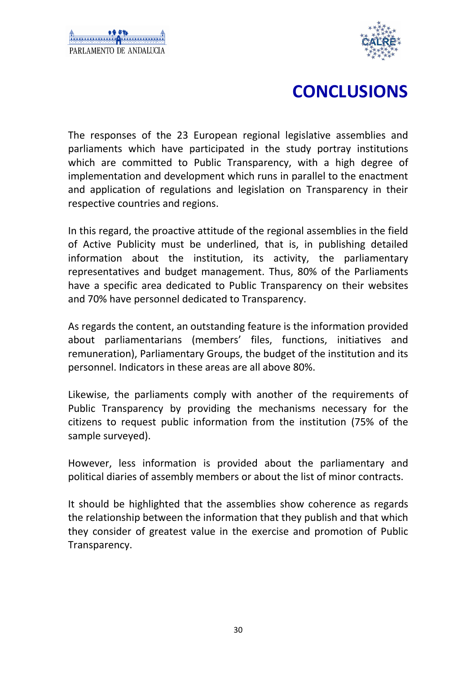

# **CONCLUSIONS**

The responses of the 23 European regional legislative assemblies and parliaments which have participated in the study portray institutions which are committed to Public Transparency, with a high degree of implementation and development which runs in parallel to the enactment and application of regulations and legislation on Transparency in their respective countries and regions.

In this regard, the proactive attitude of the regional assemblies in the field of Active Publicity must be underlined, that is, in publishing detailed information about the institution, its activity, the parliamentary representatives and budget management. Thus, 80% of the Parliaments have a specific area dedicated to Public Transparency on their websites and 70% have personnel dedicated to Transparency.

As regards the content, an outstanding feature is the information provided about parliamentarians (members' files, functions, initiatives and remuneration), Parliamentary Groups, the budget of the institution and its personnel. Indicators in these areas are all above 80%.

Likewise, the parliaments comply with another of the requirements of Public Transparency by providing the mechanisms necessary for the citizens to request public information from the institution (75% of the sample surveyed).

However, less information is provided about the parliamentary and political diaries of assembly members or about the list of minor contracts.

It should be highlighted that the assemblies show coherence as regards the relationship between the information that they publish and that which they consider of greatest value in the exercise and promotion of Public Transparency.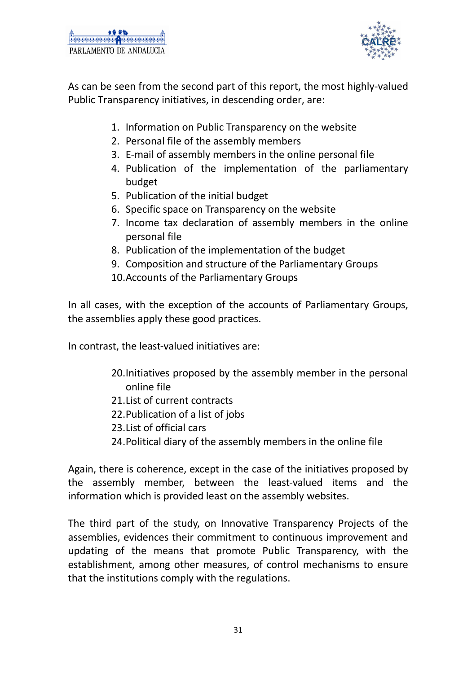

As can be seen from the second part of this report, the most highly-valued Public Transparency initiatives, in descending order, are:

- 1. Information on Public Transparency on the website
- 2. Personal file of the assembly members
- 3. E-mail of assembly members in the online personal file
- 4. Publication of the implementation of the parliamentary budget
- 5. Publication of the initial budget
- 6. Specific space on Transparency on the website
- 7. Income tax declaration of assembly members in the online personal file
- 8. Publication of the implementation of the budget
- 9. Composition and structure of the Parliamentary Groups
- 10.Accounts of the Parliamentary Groups

In all cases, with the exception of the accounts of Parliamentary Groups, the assemblies apply these good practices.

In contrast, the least-valued initiatives are:

- 20.Initiatives proposed by the assembly member in the personal online file
- 21.List of current contracts
- 22.Publication of a list of jobs
- 23.List of official cars
- 24.Political diary of the assembly members in the online file

Again, there is coherence, except in the case of the initiatives proposed by the assembly member, between the least-valued items and the information which is provided least on the assembly websites.

The third part of the study, on Innovative Transparency Projects of the assemblies, evidences their commitment to continuous improvement and updating of the means that promote Public Transparency, with the establishment, among other measures, of control mechanisms to ensure that the institutions comply with the regulations.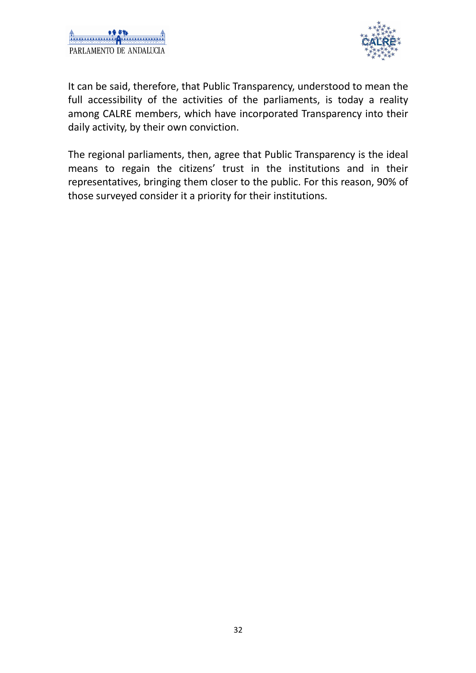



It can be said, therefore, that Public Transparency, understood to mean the full accessibility of the activities of the parliaments, is today a reality among CALRE members, which have incorporated Transparency into their daily activity, by their own conviction.

The regional parliaments, then, agree that Public Transparency is the ideal means to regain the citizens' trust in the institutions and in their representatives, bringing them closer to the public. For this reason, 90% of those surveyed consider it a priority for their institutions.